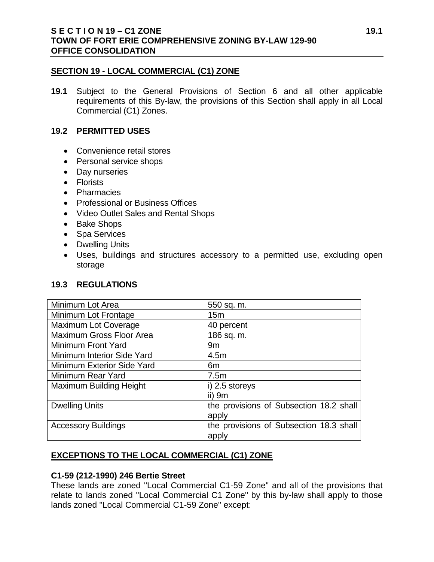#### **SECTION 19 - LOCAL COMMERCIAL (C1) ZONE**

**19.1** Subject to the General Provisions of Section 6 and all other applicable requirements of this By-law, the provisions of this Section shall apply in all Local Commercial (C1) Zones.

### **19.2 PERMITTED USES**

- Convenience retail stores
- Personal service shops
- Day nurseries
- Florists
- Pharmacies
- Professional or Business Offices
- Video Outlet Sales and Rental Shops
- Bake Shops
- Spa Services
- Dwelling Units
- Uses, buildings and structures accessory to a permitted use, excluding open storage

## **19.3 REGULATIONS**

| Minimum Lot Area               | 550 sq. m.                              |
|--------------------------------|-----------------------------------------|
| Minimum Lot Frontage           | 15 <sub>m</sub>                         |
| <b>Maximum Lot Coverage</b>    | 40 percent                              |
| Maximum Gross Floor Area       | 186 sq. m.                              |
| Minimum Front Yard             | 9m                                      |
| Minimum Interior Side Yard     | 4.5m                                    |
| Minimum Exterior Side Yard     | 6m                                      |
| Minimum Rear Yard              | 7.5m                                    |
| <b>Maximum Building Height</b> | i) 2.5 storeys                          |
|                                | ii) $9m$                                |
| <b>Dwelling Units</b>          | the provisions of Subsection 18.2 shall |
|                                | apply                                   |
| <b>Accessory Buildings</b>     | the provisions of Subsection 18.3 shall |
|                                | apply                                   |

## **EXCEPTIONS TO THE LOCAL COMMERCIAL (C1) ZONE**

### **C1-59 (212-1990) 246 Bertie Street**

These lands are zoned "Local Commercial C1-59 Zone" and all of the provisions that relate to lands zoned "Local Commercial C1 Zone" by this by-law shall apply to those lands zoned "Local Commercial C1-59 Zone" except: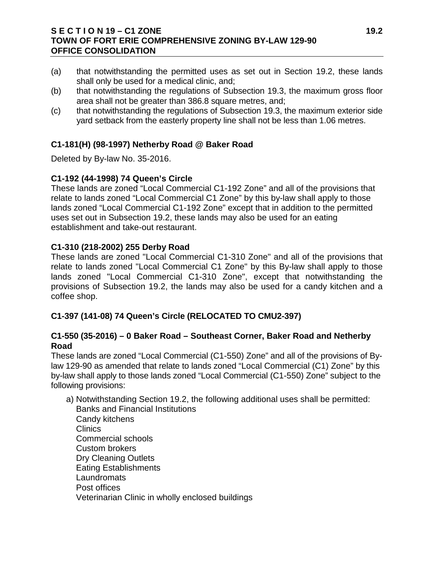### **S E C T I O N 19 – C1 ZONE 19.2 TOWN OF FORT ERIE COMPREHENSIVE ZONING BY-LAW 129-90 OFFICE CONSOLIDATION**

- (a) that notwithstanding the permitted uses as set out in Section 19.2, these lands shall only be used for a medical clinic, and;
- (b) that notwithstanding the regulations of Subsection 19.3, the maximum gross floor area shall not be greater than 386.8 square metres, and;
- (c) that notwithstanding the regulations of Subsection 19.3, the maximum exterior side yard setback from the easterly property line shall not be less than 1.06 metres.

# **C1-181(H) (98-1997) Netherby Road @ Baker Road**

Deleted by By-law No. 35-2016.

## **C1-192 (44-1998) 74 Queen's Circle**

These lands are zoned "Local Commercial C1-192 Zone" and all of the provisions that relate to lands zoned "Local Commercial C1 Zone" by this by-law shall apply to those lands zoned "Local Commercial C1-192 Zone" except that in addition to the permitted uses set out in Subsection 19.2, these lands may also be used for an eating establishment and take-out restaurant.

## **C1-310 (218-2002) 255 Derby Road**

These lands are zoned "Local Commercial C1-310 Zone" and all of the provisions that relate to lands zoned "Local Commercial C1 Zone" by this By-law shall apply to those lands zoned "Local Commercial C1-310 Zone", except that notwithstanding the provisions of Subsection 19.2, the lands may also be used for a candy kitchen and a coffee shop.

## **C1-397 (141-08) 74 Queen's Circle (RELOCATED TO CMU2-397)**

## **C1-550 (35-2016) – 0 Baker Road – Southeast Corner, Baker Road and Netherby Road**

These lands are zoned "Local Commercial (C1-550) Zone" and all of the provisions of Bylaw 129-90 as amended that relate to lands zoned "Local Commercial (C1) Zone" by this by-law shall apply to those lands zoned "Local Commercial (C1-550) Zone" subject to the following provisions:

- a) Notwithstanding Section 19.2, the following additional uses shall be permitted: Banks and Financial Institutions Candy kitchens **Clinics** Commercial schools
- Custom brokers
	- Dry Cleaning Outlets
	- Eating Establishments
	- **Laundromats**
	- Post offices
	- Veterinarian Clinic in wholly enclosed buildings